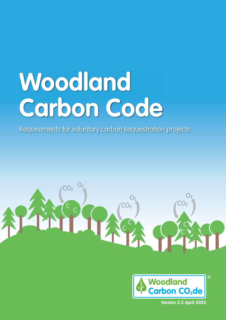# **Woodland Carbon Code**

Requirements for voluntary carbon sequestration projects



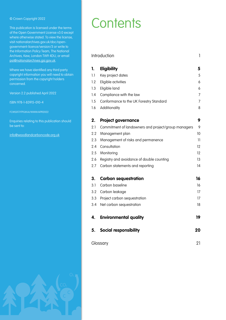This publication is licensed under the terms of the Open Government License v3.0 except where otherwise stated. To view the license, visit nationalarchives.gov.uk/doc/opengovernment-licence/version/3 or write to the Information Policy Team, The National Archives, Kew, London TW9 4DU, or email [psi@nationalarchives.gsi.gov.uk.](mailto:psi%40nationalarchives.gsi.gov.uk?subject=)

Where we have identified any third party copyright information you will need to obtain permission from the copyright holders concerned.

Version 2.2 published April 2022

ISBN 978-1-83915-010-4

FCMS017/FPG(KA)/WWW/APR2022

Enquiries relating to this publication should be sent to:

[info@woodlandcarboncode.org.uk](mailto:info%40woodlandcarboncode.org.uk?subject=)

# Contents Contents

| Introduction<br>1 |                                                     |                          |
|-------------------|-----------------------------------------------------|--------------------------|
| 1.                | Eligibility                                         | 5                        |
| 1.1               | Key project dates                                   | 5                        |
| 1.2               | Eligible activities                                 | 6                        |
| 1.3               | Eligible land                                       | 6                        |
| 1.4               | Compliance with the law                             | 7                        |
| 1.5               | Conformance to the UK Forestry Standard             | 7                        |
| 1.6               | Additionality                                       | 8                        |
| 2.                | <b>Project governance</b>                           | 9                        |
| 2.1               | Commitment of landowners and project/group managers | 9                        |
| 2.2               | Management plan                                     | 10                       |
| 2.3               | Management of risks and permanence                  | $\overline{\phantom{a}}$ |
| 2.4               | Consultation                                        | 12                       |
| 2.5               | Monitoring                                          | 12                       |
| 2.6               | Registry and avoidance of double counting           | 13                       |
| 2.7               | Carbon statements and reporting                     | 14                       |
| 3.                | <b>Carbon sequestration</b>                         | 16                       |
| 3.1               | Carbon baseline                                     | 16                       |
| 3.2               | Carbon leakage                                      | 17                       |
| 3.3               | Project carbon sequestration                        | 17                       |
| 3.4               | Net carbon sequestration                            | 18                       |
| 4.                | <b>Environmental quality</b>                        | 19                       |
| 5.                | <b>Social responsibility</b>                        | 20                       |
| Glossary          |                                                     | 21                       |

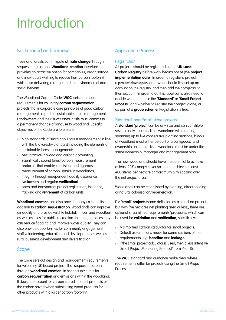# Introduction

# Background and purpose

Trees and forests can mitigate **climate change** through sequestering carbon. **Woodland creation** therefore provides an attractive option for companies, organisations and individuals wishing to reduce their carbon footprint while also delivering a range of other environmental and social benefits.

The Woodland Carbon Code (**WCC**) sets out robust requirements for voluntary **carbon sequestration** projects that incorporate core principles of good carbon management as part of sustainable forest management. Landowners and their successors in title must commit to a permanent change of landuse to woodland. Specific objectives of the Code are to ensure:

- high standards of sustainable forest management in line with the UK Forestry Standard including the elements of sustainable forest management;
- best practice in woodland carbon accounting;
- scientifically sound forest carbon measurement protocols that enable consistent and rigorous measurement of carbon uptake in woodlands;
- integrity through independent quality assurance (**validation** and regular **verification**);
- open and transparent project registration, issuance, tracking and **retirement** of carbon units.

**Woodland creation** can also provide many co-benefits in addition to **carbon sequestration**. Woodlands can improve air quality and provide wildlife habitat, timber and woodfuel as well as sites for public recreation. In the right places they can reduce flooding and improve water quality. They can also provide opportunities for community engagement, staff volunteering, education and development as well as rural business development and diversification.

# Scope

The Code sets out design and management requirements for voluntary UK based projects that sequester carbon through **woodland creation**. In scope it accounts for **carbon sequestration** and emissions within the woodland. It does not account for carbon stored in forest products or the carbon saved when substituting wood products for other products with a larger carbon footprint.

# Application Process

# **Registration**

All projects should be registered on the **UK Land Carbon Registry** before work begins onsite (the **project implementation date**). In order to register a project, a **project developer**/landowner should first set up an account on the registry, and then add their project(s) to their account. In order to do this, applicants also need to decide whether to use the **'Standard'** or **'Small Project Process'**, and whether to register their project alone, or as part of a **group scheme**. Registration is free.

# 'Standard' and 'Small' sized projects

A **standard 'project'** can be any size and can constitute several individual blocks of woodland with planting spanning up to five consecutive planting seasons; blocks of woodland must either be part of a contiguous land ownership unit or blocks of woodland must be under the same ownership, manager and management plan.

The new woodland should have the potential to achieve at least 20% canopy cover so should achieve at least 400 stems per hectare or maximum 5 m spacing over the net project area.

Woodlands can be established by planting, direct seeding or natural colonisation/regeneration.

For **'small' projects** (same definition as a standard project, but with five hectares net planting area or less), there are optional streamlined requirements/processes which can be used for **validation** and **verification**, specifically:

- A simplified carbon calculator for small projects.
- Default assumptions made for some sections of the requirements (e.g. **baseline** and **leakage**).
- If the small project calculator is used, then a less intensive 'Small Project Monitoring Protocol' from Year 15.

The **WCC** standard and guidance make clear where requirements differ for projects using the 'Small Project Process'.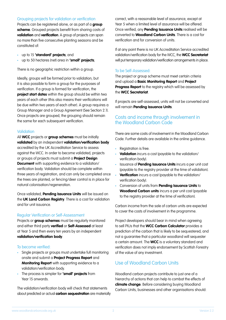# Grouping projects for validation or verification

Projects can be registered alone, or as part of a **group scheme**. Grouped projects benefit from sharing costs of **validation** and **verification**. A group of projects can span no more than five consecutive planting seasons and be constituted of:

- up to 15 **'standard' projects**; and
- up to 50 hectares (net) area in **'small' projects**;

There is no geographic restriction within a group.

Ideally, groups will be formed prior to validation, but it is also possible to form a group for the purposes of verification. If a group is formed for verification, the **project start dates** within the group should be within two years of each other (this also means their verifications will be due within two years of each other). A group requires a Group Manager and a Group Agreement (See Section 2.1). Once projects are grouped, the grouping should remain the same for each subsequent verification.

# **Validation**

All **WCC** projects or **group schemes** must be initially **validated** by an independent **validation/verification body**  accredited by the UK Accreditation Service to assess against the WCC. In order to become validated, projects or groups of projects must submit a **Project Design Document** with supporting evidence to a validation/ verification body. Validation should be complete within three years of registration, and can only be completed once the trees are planted, or fencing/deer control is in place for natural colonisation/regeneration.

Once validated, **Pending Issuance Units** will be issued on the **UK Land Carbon Registry**. There is a cost for validation and for unit issuance.

# Regular Verification or Self-Assessment

Projects or **group schemes** must be regularly monitored and either third party **verified** or **Self-Assessed** at least at Year 5 and then every ten years by an independent **validation/verification body**.

# To become verified:

- Single projects or groups must undertake full monitoring onsite and submit a **Project Progress Report** and **Monitoring Report** with supporting evidence to a validation/verification body.
- The process is simpler for **'small' projects** from Year 15 onwards.

The validation/verification body will check that statements about predicted or actual **carbon sequestration** are materially

correct, with a reasonable level of assurance, except at Year 5 when a limited level of assurance will be offered. Once verified, any **Pending Issuance Units** realised will be converted to **Woodland Carbon Units**. There is a cost for verification and for conversion of units.

If at any point there is no UK Accreditation Service accredited validation/verification body for the WCC, the **WCC Secretariat** will put temporary validation/verification arrangements in place.

# To be Self-Assessed:

The project or group scheme must meet certain criteria and upload a **Basic Monitoring Report** and **Project Progress Report** to the registry which will be assessed by the **WCC Secretariat**.

If projects are self-assessed, units will not be converted and will remain **Pending Issuance Units**.

# Costs and income through involvement in the Woodland Carbon Code

There are some costs of involvement in the Woodland Carbon Code. Further details are available in the online guidance.

- Registration is free.
- **Validation** incurs a cost (payable to the validation/ verification body).
- Issuance of **Pending Issuance Units** incurs a per unit cost (payable to the registry provider at the time of validation).
- **Verification** incurs a cost (payable to the validation/ verification body).
- Conversion of units from **Pending Issuance Units** to **Woodland Carbon units** incurs a per unit cost (payable to the registry provider at the time of verification).

Carbon income from the sale of carbon units are expected to cover the costs of involvement in the programme.

Project developers should bear in mind when agreeing to sell PIUs that the **WCC Carbon Calculator** provides a prediction of the carbon that is likely to be sequestered, and not a guarantee that a particular woodland will sequester a certain amount. The **WCC** is a voluntary standard and verification does not imply endorsement by Scottish Forestry of the value of any investment.

# Use of Woodland Carbon Units

Woodland carbon projects contribute to just one of a hierarchy of actions that can help to combat the effects of **climate change**. Before considering buying Woodland Carbon Units, businesses and other organisations should: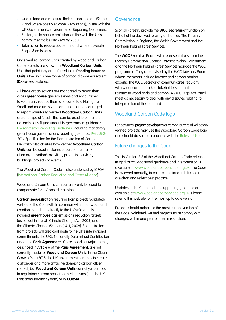- Understand and measure their carbon footprint (Scope 1, 2 and where possible Scope 3 emissions), in line with the UK Government's Environmental Reporting Guidelines;
- Set targets to reduce emissions in line with the UK's commitment to be Net Zero by 2050;
- Take action to reduce Scope 1, 2 and where possible Scope 3 emissions.

Once verified, carbon units created by Woodland Carbon Code projects are known as **Woodland Carbon Units**. Until that point they are referred to as **Pending Issuance Units**. One unit is one tonne of carbon dioxide equivalent  $(tCO<sub>2</sub>e)$  sequestered.

All large organisations are mandated to report their gross **greenhouse gas** emissions and encouraged to voluntarily reduce them and come to a Net figure. Small and medium sized companies are encouraged to report voluntarily. Verified **Woodland Carbon Units**  are one type of 'credit' that can be used to come to a net emissions figure under UK government guidance: [Environmental Reporting Guidelines](https://www.gov.uk/government/publications/environmental-reporting-guidelines-including-mandatory-greenhouse-gas-emissions-reporting-guidance): Including mandatory greenhouse gas emissions reporting guidance. [PAS2060](https://www.bsigroup.com/en-GB/PAS-2060-Carbon-Neutrality/): 2014 Specification for the Demonstration of Carbon Neutrality also clarifies how verified **Woodland Carbon Units** can be used in claims of carbon neutrality of an organisation's activities, products, services, buildings, projects or events.

The Woodland Carbon Code is also endorsed by ICROA [\(International Carbon Reduction and Offset Alliance](https://www.icroa.org/)).

Woodland Carbon Units can currently only be used to compensate for UK-based emissions.

**Carbon sequestration** resulting from projects validated/ verified to the Code will, in common with other woodland creation, contribute directly to the UK's/Scotland's national **greenhouse gas** emissions reduction targets (as set out in the UK Climate Change Act, 2008, and the Climate Change (Scotland) Act, 2009). Sequestration from projects will also contribute to the UK's international commitments (the UK's Nationally Determined Contribution under the **Paris Agreement**). Corresponding Adjustments, described in Article 6 of the **Paris Agreement**, are not currently made for **Woodland Carbon Units**. In the Clean Growth Plan (2018) the UK government commits to create a stronger and more attractive domestic carbon offset market, but **Woodland Carbon Units** cannot yet be used in regulatory carbon reduction mechanisms (e.g. the UK Emissions Trading System) or in **CORSIA**.

# Governance

Scottish Forestry provide the **WCC Secretariat** function on behalf of the devolved forestry authorities (The Forestry Commission in England, the Welsh Government and the Northern Ireland Forest Service).

The **WCC** Executive Board (with representatives from the Forestry Commission, Scottish Forestry, Welsh Government and the Northern Ireland Forest Service) manage the WCC programme. They are advised by the WCC Advisory Board whose members include forestry and carbon market experts. The WCC Secretariat communicates regularly with wider carbon market stakeholders on matters relating to woodlands and carbon. A WCC Disputes Panel meet as necessary to deal with any disputes relating to interpretation of the standard.

# Woodland Carbon Code logo

Landowners, **project developers** or carbon buyers of validated/ verified projects may use the Woodland Carbon Code logo and should do so in accordance with the [Rules of Use.](https://www.woodlandcarboncode.org.uk/about/woodland-carbon-code-logo-rules-of-use)

# Future changes to the Code

This is Version 2.2 of the Woodland Carbon Code released in April 2022. Additional guidance and interpretation is available at www.woodlandcarboncode.org.uk. The Code is reviewed annually, to ensure the standards it contains are clear and reflect best practice.

Updates to the Code and the supporting guidance are available at www.woodlandcarboncode.org.uk. Please refer to this website for the most up to date version.

Projects should adhere to the most current version of the Code. Validated/verified projects must comply with changes within one year of their introduction.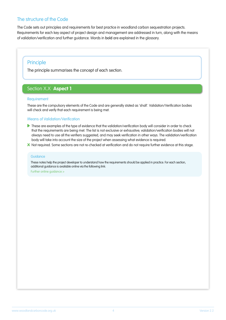# The structure of the Code

The Code sets out principles and requirements for best practice in woodland carbon sequestration projects. Requirements for each key aspect of project design and management are addressed in turn, along with the means of validation/verification and further guidance. Words in bold are explained in the glossary.

# Principle

The principle summarises the concept of each section.

# Section X.X **Aspect 1**

## **Requirement**

These are the compulsory elements of the Code and are generally stated as 'shall'. Validation/Verification bodies will check and verify that each requirement is being met.

# Means of Validation/Verification

- These are examples of the type of evidence that the validation/verification body will consider in order to check that the requirements are being met. The list is not exclusive or exhaustive; validation/verification bodies will not always need to use all the verifiers suggested, and may seek verification in other ways. The validation/verification body will take into account the size of the project when assessing what evidence is required.
- **x** Not required. Some sections are not re-checked at verification and do not require further evidence at this stage.

#### **Guidance**

These notes help the project developer to understand how the requirements should be applied in practice. For each section, additional guidance is available online via the following link: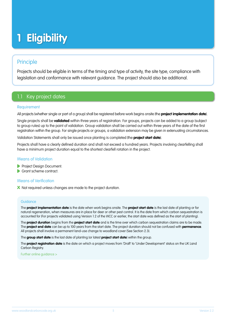# **1 Eligibility**

# Principle

Projects should be eligible in terms of the timing and type of activity, the site type, compliance with legislation and conformance with relevant guidance. The project should also be additional.

# 1.1 Key project dates

# **Requirement**

All projects (whether single or part of a group) shall be registered before work begins onsite (the **project implementation date**).

Single projects shall be **validated** within three years of registration. For groups, projects can be added to a group (subject to group rules) up to the point of validation. Group validation shall be carried out within three years of the date of the first registration within the group. For single projects or groups, a validation extension may be given in extenuating circumstances.

Validation Statements shall only be issued once planting is completed (the **project start date**).

Projects shall have a clearly defined duration and shall not exceed a hundred years. Projects involving clearfelling shall have a minimum project duration equal to the shortest clearfell rotation in the project.

# Means of Validation

- **Project Design Document.**
- Grant scheme contract.

# Means of Verification

**x** Not required unless changes are made to the project duration.

# **Guidance**

The **project implementation date** is the date when work begins onsite. The **project start date** is the last date of planting or for natural regeneration, when measures are in place for deer or other pest control. It is the date from which carbon sequestration is accounted for (For projects validated using Version 1.2 of the WCC or earlier, the start date was defined as the start of planting).

The **project duration** begins from the **project start date** and is the time over which carbon sequestration claims are to be made. The **project end date** can be up to 100 years from the start date. The project duration should not be confused with **permanence**. All projects shall involve a permanent land-use change to woodland cover (See Section 2.3).

The **group start date** is the last date of planting (or latest **project start date**) within the group.

The **project registration date** is the date on which a project moves from 'Draft' to 'Under Development' status on the UK Land Carbon Registry.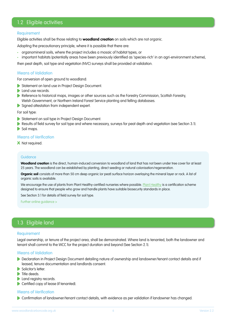# 1.2 Eligible activities

#### **Requirement**

Eligible activities shall be those relating to **woodland creation** on soils which are not organic.

Adopting the precautionary principle, where it is possible that there are:

- organomineral soils, where the project includes a mosaic of habitat types, or
- important habitats (potentially areas have been previously identified as 'species-rich' in an agri-environment scheme),

then peat depth, soil type and vegetation (NVC) surveys shall be provided at validation.

# Means of Validation

For conversion of open ground to woodland:

- Statement on land use in Project Design Document.
- **Land use records.**
- Reference to historical maps, images or other sources such as the Forestry Commission, Scottish Forestry, Welsh Government, or Northern Ireland Forest Service planting and felling databases.
- Signed attestation from independent expert.

For soil type:

- Statement on soil type in Project Design Document.
- Results of field survey for soil type and where necessary, surveys for peat depth and vegetation (see Section 3.1).
- Soil maps.

## Means of Verification

**x** Not required.

#### **Guidance**

**Woodland creation** is the direct, human-induced conversion to woodland of land that has not been under tree cover for at least 25 years. The woodland can be established by planting, direct seeding or natural colonisation/regeneration.

**Organic soil** consists of more than 50 cm deep organic (or peat) surface horizon overlaying the mineral layer or rock. A list of organic soils is available.

We encourage the use of plants from [Plant Healthy](https://planthealthy.org.uk/certification)-certified nurseries where possible. Plant Healthy is a certification scheme designed to ensure that people who grow and handle plants have suitable biosecurity standards in place.

See Section 3.1 for details of field survey for soil type.

[Further online guidance >](https://www.woodlandcarboncode.org.uk/standard-and-guidance/1-eligibility/1-2-eligible-activities)

# 1.3 Eligible land

## **Requirement**

Legal ownership, or tenure of the project area, shall be demonstrated. Where land is tenanted, both the landowner and tenant shall commit to the WCC for the project duration and beyond (See Section 2.1).

## Means of Validation

- Declaration in Project Design Document detailing nature of ownership and landowner/tenant contact details and if leased, tenure documentation and landlords consent.
- Solicitor's letter.
- $\triangleright$  Title deeds.
- **Land registry records.**
- Certified copy of lease (if tenanted).

#### Means of Verification

Confirmation of landowner/tenant contact details, with evidence as per validation if landowner has changed.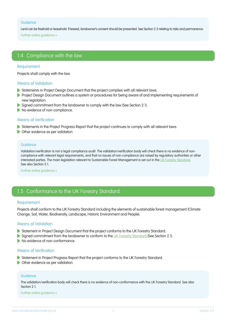#### **Guidance**

Land can be freehold or leasehold. If leased, landowner's consent should be presented. See Section 2.3 relating to risks and permanence. [Further online guidance >](https://www.woodlandcarboncode.org.uk/standard-and-guidance/1-eligibility/1-3-eligible-land)

# 1.4 Compliance with the law

# **Requirement**

Projects shall comply with the law.

# Means of Validation

- Statements in Project Design Document that the project complies with all relevant laws.
- Project Design Document outlines a system or procedures for being aware of and implementing requirements of new leaislation.
- Signed commitment from the landowner to comply with the law (See Section 2.1).
- No evidence of non-compliance.

# Means of Verification

- Statements in the Project Progress Report that the project continues to comply with all relevant laws.
- **Other evidence as per validation.**

#### **Guidance**

Validation/verification is not a legal compliance audit. The validation/verification body will check there is no evidence of noncompliance with relevant legal requirements, and that no issues of non-compliance are raised by regulatory authorities or other interested parties. The main legislation relevant to Sustainable Forest Management is set out in the [UK Forestry Standard.](https://www.gov.uk/government/publications/the-uk-forestry-standard) See also Section 2.1.

[Further online guidance >](https://www.woodlandcarboncode.org.uk/standard-and-guidance/1-eligibility/1-4-compliance-with-the-law)

# 1.5 Conformance to the UK Forestry Standard

## **Requirement**

Projects shall conform to the UK Forestry Standard including the elements of sustainable forest management (Climate Change, Soil, Water, Biodiversity, Landscape, Historic Environment and People).

## Means of Validation

- Statement in Project Design Document that the project conforms to the UK Forestry Standard.
- Signed commitment from the landowner to conform to the [UK Forestry Standard](https://www.gov.uk/government/publications/the-uk-forestry-standard) (See Section 2.1).
- No evidence of non-conformance.

## Means of Verification

- Statement in Project Progress Report that the project conforms to the UK Forestry Standard.
- **Other evidence as per validation.**

#### **Guidance**

The validation/verification body will check there is no evidence of non-conformance with the UK Forestry Standard. See also Section 2.1.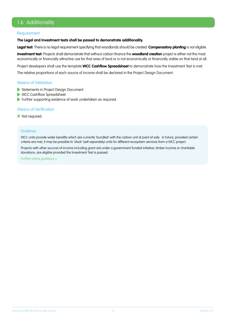# 1.6 Additionality

# Requirement

#### **The Legal and Investment tests shall be passed to demonstrate additionality.**

**Legal test:** There is no legal requirement specifying that woodlands should be created. **Compensatory planting** is not eligible.

**Investment test:** Projects shall demonstrate that without carbon finance the **woodland creation** project is either not the most economically or financially attractive use for that area of land or is not economically or financially viable on that land at all.

Project developers shall use the template **WCC Cashflow Spreadsheet** to demonstrate how the Investment Test is met.

The relative proportions of each source of income shall be declared in the Project Design Document.

# Means of Validation

- Statements in Project Design Document.
- WCC Cashflow Spreadsheet.
- Further supporting evidence of work undertaken as required.

# Means of Verification

**x** Not required.

#### **Guidance**

WCC units provide wider benefits which are currently 'bundled' with the carbon unit at point of sale. In future, provided certain criteria are met, it may be possible to 'stack' (sell separately) units for different ecosystem services from a WCC project.

Projects with other sources of income including grant aid under a government-funded initiative, timber income or charitable donations, are eligible provided the Investment Test is passed.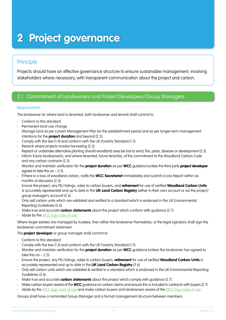# **2 Project governance**

# Principle

Projects should have an effective governance structure to ensure sustainable management, involving stakeholders where necessary, with transparent communication about the project and carbon.

# 2.1 Commitment of Landowners and Project Developers/Group Managers

# **Requirement**

The landowner (or where land is tenanted, both landowner and tenant) shall commit to:

- Conform to this standard.
- Permanent land-use change.
- Manage land as per current Management Plan for the establishment period and as per longer-term management intentions for the **project duration** and beyond (2.3).
- Comply with the law (1.4) and conform with the UK Forestry Standard (1.5).
- Restock where projects involve harvesting (2.3).
- Replant or undertake alternative planting should woodland area be lost to wind, fire, pests, disease or development (2.3).
- Inform future landowner(s), and where tenanted, future tenant(s), of the commitment to the Woodland Carbon Code and any carbon contracts (2.3).
- Monitor and maintain verification for the **project duration** as per **WCC** guidance (unless the third party **project developer**  agrees to take this on  $- 2.5$ ).
- If there is a loss of woodland carbon, notify the **WCC Secretariat** immediately and submit a Loss Report within six months of discovery (2.3).
- Ensure the project, any PIU listings, sales to carbon buyers, and **retirement** for use of verified **Woodland Carbon Units** is accurately represented and up to date in the **UK Land Carbon Registry** (either in their own account or via the project/ group manager's account) (2.6).
- Only sell carbon units which are validated and verified to a standard which is endorsed in the UK Environmental Reporting Guidelines (2.6).
- Make true and accurate **carbon statements** about the project which conform with guidance (2.7).
- Abide by the [WCC logo rules of use.](https://www.woodlandcarboncode.org.uk/about/woodland-carbon-code-logo-rules-of-use)

Where larger estates are managed by trustees, then either the landowner themselves, or the legal signatory shall sign the landowner commitment statement.

The **project developer** or group manager shall commit to:

- Conform to this standard.
- Comply with the law (1.4) and conform with the UK Forestry Standard (1.5).
- Monitor and maintain verification for the **project duration** as per **WCC** guidance (unless the landowner has agreed to take this on  $-2.5$ ).
- Ensure the project, any PIU listings, sales to carbon buyers, **retirement** for use of verified **Woodland Carbon Units** is accurately represented and up to date in the **UK Land Carbon Registry** (2.6).
- Only sell carbon units which are validated & verified to a standard which is endorsed in the UK Environmental Reporting Guidelines (2.6).
- Make true and accurate **carbon statements** about the project which comply with guidance (2.7).
- Make carbon buyers aware of the **WCC** guidance on carbon claims and ensure this is included in contracts with buyers (2.7).
- Abide by the [WCC logo rules of use](https://www.woodlandcarboncode.org.uk/about/woodland-carbon-code-logo-rules-of-use) and make carbon buyers and landowners aware of the [WCC logo rules of use](https://www.woodlandcarboncode.org.uk/about/woodland-carbon-code-logo-rules-of-use).

Groups shall have a nominated Group Manager and a formal management structure between members.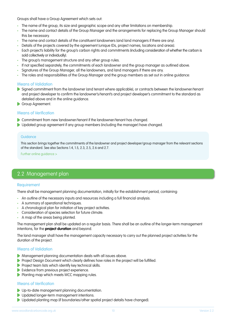Groups shall have a Group Agreement which sets out:

- The name of the group, its size and geographic scope and any other limitations on membership.
- The name and contact details of the Group Manager and the arrangements for replacing the Group Manager should this be necessary.
- The name and contact details of the constituent landowners (and land managers if there are any).
- Details of the projects covered by the agreement (unique IDs, project names, locations and areas).
- Each project's liability for the group's carbon rights and commitments (including consideration of whether the carbon is sold collectively or individually).
- The group's management structure and any other group rules.
- If not specified separately, the commitments of each landowner and the group manager as outlined above.
- Signatures of the Group Manager, all the landowners, and land managers if there are any.
- The roles and responsibilities of the Group Manager and the group members as set out in online guidance:

# Means of Validation

- Signed commitment from the landowner (and tenant where applicable), or contracts between the landowner/tenant and project developer to confirm the landowner's/tenant's and project developer's commitment to the standard as detailed above and in the online guidance.
- Group Agreement.

# Means of Verification

- Commitment from new landowner/tenant if the landowner/tenant has changed.
- Updated group agreement if any group members (including the manager) have changed.

# Guidance

This section brings together the commitments of the landowner and project developer/group manager from the relevant sections of the standard. See also Sections 1.4, 1.5, 2.3, 2.5, 2.6 and 2.7.

[Further online guidance >](https://www.woodlandcarboncode.org.uk/standard-and-guidance/2-project-governance/2-1-commitment-of-landowners-and-project-developers-group-managers)

# 2.2 Management plan

# **Requirement**

There shall be management planning documentation, initially for the establishment period, containing:

- An outline of the necessary inputs and resources including a full financial analysis.
- A summary of operational techniques.
- A chronological plan for initiation of key project activities.
- Consideration of species selection for future climate.
- A map of the areas being planted.

The management plan shall be updated on a regular basis. There shall be an outline of the longer-term management intentions, for the **project duration** and beyond.

The land manager shall have the management capacity necessary to carry out the planned project activities for the duration of the project.

# Means of Validation

- Management planning documentation deals with all issues above.
- **Project Design Document which clearly defines how roles in the project will be fulfilled.**
- **Project team lists which identify key technical skills.**
- Evidence from previous project experience.
- **Planting map which meets WCC mapping rules.**

# Means of Verification

- **D** Up-to-date management planning documentation.
- **D** Updated longer-term management intentions.
- ▶ Updated planting map (if boundaries/other spatial project details have changed).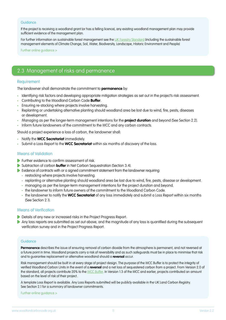#### **Guidance**

If the project is receiving a woodland grant (or has a felling licence), any existing woodland management plan may provide sufficient evidence of the management plan.

For further information on sustainable forest management see the [UK Forestry Standard](https://www.gov.uk/government/publications/the-uk-forestry-standard) (including the sustainable forest management elements of Climate Change, Soil, Water, Biodiversity, Landscape, Historic Environment and People)

[Further online guidance >](https://www.woodlandcarboncode.org.uk/standard-and-guidance/2-project-governance/2-2-management-plan)

# 2.3 Management of risks and permanence

# **Requirement**

The landowner shall demonstrate the commitment to **permanence** by:

- Identifying risk factors and developing appropriate mitigation strategies as set out in the project's risk assessment.
- Contributing to the Woodland Carbon Code **Buffer**.
- Ensuring re-stocking where projects involve harvesting.
- Replanting or undertaking alternative planting should woodland area be lost due to wind, fire, pests, diseases or development.
- Managing as per the longer-term management intentions for the **project duration** and beyond (See Section 2.2).
- Inform future landowners of the commitment to the WCC and any carbon contracts.

Should a project experience a loss of carbon, the landowner shall:

- Notify the **WCC Secretariat** immediately.
- Submit a Loss Report to the **WCC Secretariat** within six months of discovery of the loss.

## Means of Validation

- Further evidence to confirm assessment of risk.
- Subtraction of carbon **buffer** in Net Carbon Sequestration (Section 3.4).
- Evidence of contracts with or a signed commitment statement from the landowner requiring:
	- restocking where projects involve harvesting.
	- replanting or alternative planting should woodland area be lost due to wind, fire, pests, disease or development.
	- managing as per the longer-term management intentions for the project duration and beyond.
	- the landowner to inform future owners of the commitment to the Woodland Carbon Code.
	- the landowner to notify the **WCC Secretariat** of any loss immediately and submit a Loss Report within six months (See Section 2.1).

# Means of Verification

- Details of any new or increased risks in the Project Progress Report.
- Any loss reports are submitted as set out above, and the magnitude of any loss is quantified during the subsequent verification survey and in the Project Progress Report.

## Guidance

**Permanence** describes the issue of ensuring removal of carbon dioxide from the atmosphere is permanent, and not reversed at a future point in time. Woodland projects carry a risk of reversibility and as such safeguards must be in place to minimise that risk and to guarantee replacement or alternative woodland should a **reversal** occur.

Risk management should be built in at every stage of project design. The purpose of the WCC Buffer is to protect the integrity of verified Woodland Carbon Units in the event of a **reversal** and a net loss of sequestered carbon from a project. From Version 2.0 of the standard, all projects contribute 20% to the [WCC Buffer](https://www.woodlandcarboncode.org.uk/standard-and-guidance/2-project-governance/2-3-management-of-risks-and-permanence). In Version 1.3 of the WCC and earlier, projects contributed an amount based on the level of risk of their project.

A template Loss Report is available. Any Loss Reports submitted will be publicly available in the UK Land Carbon Registry. See Section 2.1 for a summary of landowner commitments.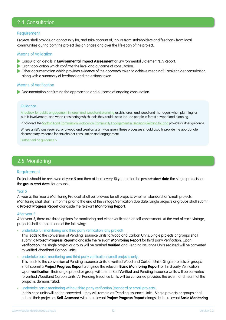# 2.4 Consultation

## **Requirement**

Projects shall provide an opportunity for, and take account of, inputs from stakeholders and feedback from local communities during both the project design phase and over the life-span of the project.

## Means of Validation

- **Consultation details in Environmental Impact Assessment** or Environmental Statement/EIA Report.
- Grant application which confirms the level and outcome of consultation.
- Other documentation which provides evidence of the approach taken to achieve meaningful stakeholder consultation, along with a summary of feedback and the actions taken.

# Means of Verification

Documentation confirming the approach to and outcome of ongoing consultation.

# Guidance

[A toolbox for public engagement in forest and woodland planning](https://www.forestresearch.gov.uk/tools-and-resources/fthr/public-engagement-in-forestry-toolbox-and-guidance/) assists forest and woodland managers when planning for public involvement, and when considering which tools they could use to include people in forest or woodland planning.

In Scotland, the [Scottish Land Commission Protocol on Community Engagement in Decisions Relating to Land](https://www.landcommission.gov.scot/our-work/good-practice/community-engagement) provides further guidance.

Where an EIA was required, or a woodland creation grant was given, these processes should usually provide the appropriate documentary evidence for stakeholder consultation and engagement.

[Further online guidance >](https://www.woodlandcarboncode.org.uk/standard-and-guidance/2-project-governance/2-4-consultation)

# 2.5 Monitoring

## **Requirement**

Projects should be reviewed at year 5 and then at least every 10 years after the **project start date** (for single projects) or the **group start date** (for groups).

#### Year 5

At year 5, the 'Year 5 Monitoring Protocol' shall be followed for all projects, whether 'standard' or 'small' projects. Monitoring shall start 12 months prior to the end of the vintage/verification due date. Single projects or groups shall submit a **Project Progress Report** alongside the relevant **Monitoring Report**.

#### After year 5

After year 5, there are three options for monitoring and either verification or self-assessment. At the end of each vintage, projects shall complete one of the following:

• undertake full monitoring and third party verification (any project).

This leads to the conversion of Pending Issuance Units to Woodland Carbon Units. Single projects or groups shall submit a **Project Progress Report** alongside the relevant **Monitoring Report** for third party Verification. Upon **verification**, the single project or group will be marked **Verified** and Pending Issuance Units realised will be converted to verified Woodland Carbon Units.

• undertake basic monitoring and third party verification (small projects only).

This leads to the conversion of Pending Issuance Units to verified Woodland Carbon Units. Single projects or groups shall submit a **Project Progress Report** alongside the relevant **Basic Monitoring Report** for third party Verification. Upon **verification**, their single project or group will be marked **Verified** and Pending Issuance Units will be converted to verified Woodland Carbon Units. All Pending Issuance Units will be converted provided the extent and health of the project is demonstrated.

• undertake basic monitoring without third party verification (standard or small projects).

In this case units will not be converted – they will remain as 'Pending Issuance Units'. Single projects or groups shall submit their project as **Self-Assessed** with the relevant **Project Progress Report** alongside the relevant **Basic Monitoring**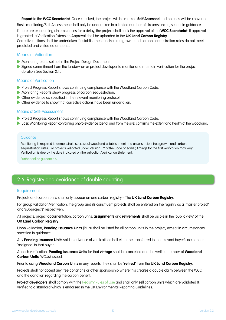**Report** to the **WCC Secretariat**. Once checked, the project will be marked **Self Assessed** and no units will be converted.

Basic monitoring/Self-Assessment shall only be undertaken in a limited number of circumstances, set out in guidance. If there are extenuating circumstances for a delay, the project shall seek the approval of the **WCC Secretariat**. If approval is granted, a Verification Extension Approval shall be uploaded to the **UK Land Carbon Registry**. Corrective actions shall be undertaken if establishment and/or tree growth and carbon sequestration rates do not meet

predicted and validated amounts.

# Means of Validation

- **Monitoring plans set out in the Project Design Document.**
- Signed commitment from the landowner or project developer to monitor and maintain verification for the project duration (See Section 2.1).

# Means of Verification

- **Project Progress Report shows continuing compliance with the Woodland Carbon Code.**
- Monitoring Reports show progress of carbon sequestration.
- Other evidence as specified in the relevant monitoring protocol.
- Other evidence to show that corrective actions have been undertaken.

# Means of Self-Assessment

- Project Progress Report shows continuing compliance with the Woodland Carbon Code.
- Basic Monitoring Report containing photo evidence (aerial and from the site) confirms the extent and health of the woodland.

# **Guidance**

Monitoring is required to demonstrate successful woodland establishment and assess actual tree growth and carbon sequestration rates. For projects validated under Version 1.2 of the Code or earlier, timings for the first verification may vary. Verification is due by the date indicated on the validation/verification Statement.

[Further online guidance >](https://www.woodlandcarboncode.org.uk/standard-and-guidance/2-project-governance/2-5-monitoring)

# 2.6 Registry and avoidance of double counting

# **Requirement**

Projects and carbon units shall only appear on one carbon registry – The **UK Land Carbon Registry**.

For group validation/verification, the group and its constituent projects shall be entered on the registry as a 'master project' and 'subprojects' respectively.

All projects, project documentation, carbon units, **assignments** and **retirements** shall be visible in the 'public view' of the **UK Land Carbon Registry**.

Upon validation, **Pending Issuance Units** (PIUs) shall be listed for all carbon units in the project, except in circumstances specified in guidance.

Any **Pending Issuance Units** sold in advance of verification shall either be transferred to the relevant buyer's account or 'assigned' to that buyer.

At each verification, **Pending Issuance Units** for that **vintage** shall be cancelled and the verified number of **Woodland Carbon Units** (WCUs) issued.

Prior to using **Woodland Carbon Units** in any reports, they shall be **'retired'** from the **UK Land Carbon Registry**.

Projects shall not accept any tree donations or other sponsorship where this creates a double claim between the WCC and the donation regarding the carbon benefit.

**Project developers** shall comply with the [Registry Rules of Use](https://www.woodlandcarboncode.org.uk/standard-and-guidance/2-project-governance/2-6-registry-and-avoidance-of-double-counting) and shall only sell carbon units which are validated & verified to a standard which is endorsed in the UK Environmental Reporting Guidelines.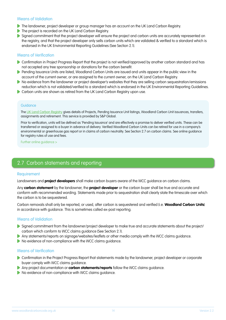# Means of Validation

- **The landowner, project developer or group manager has an account on the UK Land Carbon Registry.**
- The project is recorded on the UK Land Carbon Registry.
- Signed commitment that the project developer will ensure the project and carbon units are accurately represented on the registry, and that the project developer only sells carbon units which are validated & verified to a standard which is endorsed in the UK Environmental Reporting Guidelines (See Section 2.1).

# Means of Verification

- Confirmation in Project Progress Report that the project is not verified/approved by another carbon standard and has not accepted any tree sponsorship or donations for the carbon benefit.
- **Pending Issuance Units are listed, Woodland Carbon Units are issued and units appear in the public view in the** account of the current owner, or are assigned to the current owner, on the UK Land Carbon Registry.
- No evidence from the landowner or project developer's websites that they are selling carbon sequestration/emissions reduction which is not validated/verified to a standard which is endorsed in the UK Environmental Reporting Guidelines.
- Carbon units are shown as retired from the UK Land Carbon Registry upon use.

## **Guidance**

The [UK Land Carbon Registry](https://www.woodlandcarboncode.org.uk/uk-land-carbon-registry) gives details of Projects, Pending Issuance Unit listings, Woodland Carbon Unit issuances, transfers, assignments and retirement. This service is provided by S&P Global.

Prior to verification, units will be defined as 'Pending Issuance' and are effectively a promise to deliver verified units. These can be transferred or assigned to a buyer in advance of delivery. Verified Woodland Carbon Units can be retired for use in a company's environmental or greenhouse gas report or in claims of carbon neutrality. See Section 2.7 on carbon claims. See online guidance for registry rules of use and fees.

[Further online guidance >](https://www.woodlandcarboncode.org.uk/standard-and-guidance/2-project-governance/2-6-registry-and-avoidance-of-double-counting)

# 2.7 Carbon statements and reporting

## Requirement

Landowners and **project developers** shall make carbon buyers aware of the WCC guidance on carbon claims.

Any **carbon statement** by the landowner, the **project developer** or the carbon buyer shall be true and accurate and conform with recommended wording. Statements made prior to sequestration shall clearly state the timescale over which the carbon is to be sequestered.

Carbon removals shall only be reported, or used, after carbon is sequestered and verified (i.e. **Woodland Carbon Units**) in accordance with guidance. This is sometimes called ex-post reporting.

# Means of Validation

- Signed commitment from the landowner/project developer to make true and accurate statements about the project/ carbon which conform to WCC claims guidance (See Section 2.1).
- Any statements/reports on signage/websites/leaflets or other media comply with the WCC claims quidance.
- No evidence of non-compliance with the WCC claims quidance.

## Means of Verification

- Confirmation in the Project Progress Report that statements made by the landowner, project developer or corporate buyer comply with WCC claims guidance.
- Any project documentation or **carbon statements/reports** follow the WCC claims guidance.
- No evidence of non-compliance with WCC claims guidance.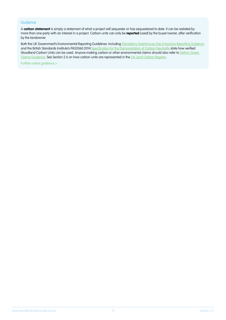#### **Guidance**

A **carbon statement** is simply a statement of what a project will sequester or has sequestered to date. It can be restated by more than one party with an interest in a project. Carbon units can only be **reported** (used) by the buyer/owner, after verification by the landowner.

Both the UK Government's Environmental Reporting Guidelines: Including [Mandatory Greenhouse Gas Emissions Reporting Guidance](https://www.gov.uk/government/publications/environmental-reporting-guidelines-including-mandatory-greenhouse-gas-emissions-reporting-guidance) and the British Standards Institute's PAS2060:2014 [Specification for the Demonstration of Carbon Neutrality](https://www.centreforassessment.co.uk/pas-2060-carbon-neutrality/) state how verified Woodland Carbon Units can be used. Anyone making carbon or other environmental claims should also refer to Defra's Green [Claims Guidance.](https://www.gov.uk/government/publications/green-claims-code-making-environmental-claims) See Section 2.6 on how carbon units are represented in the [UK Land Carbon Registry.](https://woodlandcarboncode.org.uk/uk-land-carbon-registry)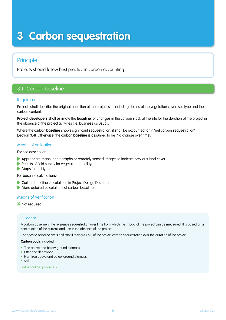# **3 Carbon sequestration**

# Principle

Projects should follow best practice in carbon accounting.

# 3.1 Carbon baseline

# **Requirement**

Projects shall describe the original condition of the project site including details of the vegetation cover, soil type and their carbon content.

**Project developers** shall estimate the **baseline**, or changes in the carbon stock at the site for the duration of the project in the absence of the project activities (i.e. business as usual).

Where the carbon **baseline** shows significant sequestration, it shall be accounted for in 'net carbon sequestration' (Section 3.4). Otherwise, the carbon **baseline** is assumed to be 'No change over time'.

# Means of Validation

For site description:

- Appropriate maps, photographs or remotely sensed images to indicate previous land cover.
- Results of field survey for vegetation or soil type.
- **Maps for soil type.**

For baseline calculations:

- Carbon baseline calculations in Project Design Document.
- **More detailed calculations of carbon baseline.**

# Means of Verification

## **x** Not required.

## **Guidance**

A carbon baseline is the reference sequestration over time from which the impact of the project can be measured. It is based on a continuation of the current land use in the absence of the project.

Changes to baseline are significant if they are ≥5% of the project carbon sequestration over the duration of the project.

#### **Carbon pools** included:

- Tree above and below ground biomass
- Litter and deadwood
- Non-tree above and below ground biomass
- Soil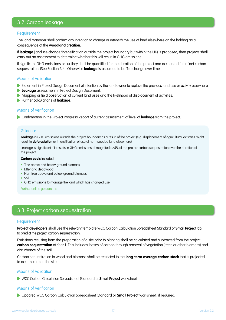# 3.2 Carbon leakage

# Requirement

The land manager shall confirm any intention to change or intensify the use of land elsewhere on the holding as a consequence of the **woodland creation**.

If **leakage** (landuse change/intensification outside the project boundary but within the UK) is proposed, then projects shall carry out an assessment to determine whether this will result in GHG emissions.

If significant GHG emissions occur they shall be quantified for the duration of the project and accounted for in 'net carbon sequestration' (See Section 3.4). Otherwise **leakage** is assumed to be 'No change over time'.

#### Means of Validation

- Statement in Project Design Document of intention by the land owner to replace the previous land use or activity elsewhere.
- **Leakage** assessment in Project Design Document.
- Mapping or field observation of current land uses and the likelihood of displacement of activities.
- Further calculations of **leakage**.

#### Means of Verification

Confirmation in the Project Progress Report of current assessment of level of **leakage** from the project.

#### **Guidance**

Leakage is GHG emissions outside the project boundary as a result of the project (e.g. displacement of agricultural activities might result in **deforestation** or intensification of use of non-wooded land elsewhere).

Leakage is significant if it results in GHG emissions of magnitude ≥5% of the project carbon sequestration over the duration of the project.

#### **Carbon pools** included:

- Tree above and below ground biomass
- Litter and deadwood
- Non-tree above and below ground biomass
- Soil
- GHG emissions to manage the land which has changed use

[Further online guidance >](https://www.woodlandcarboncode.org.uk/standard-and-guidance/3-carbon-sequestration/3-2-carbon-leakage)

# 3.3 Project carbon sequestration

#### Requirement

**Project developers** shall use the relevant template WCC Carbon Calculation Spreadsheet (Standard or **Small Project** tab) to predict the project carbon sequestration.

Emissions resulting from the preparation of a site prior to planting shall be calculated and subtracted from the project **carbon sequestration** at Year 1. This includes losses of carbon through removal of vegetation (trees or other biomass) and disturbance of the soil.

Carbon sequestration in woodland biomass shall be restricted to the **long-term average carbon stock** that is projected to accumulate on the site.

# Means of Validation

WCC Carbon Calculation Spreadsheet (Standard or **Small Project** worksheet).

#### Means of Verification

Updated WCC Carbon Calculation Spreadsheet (Standard or **Small Project** worksheet), if required.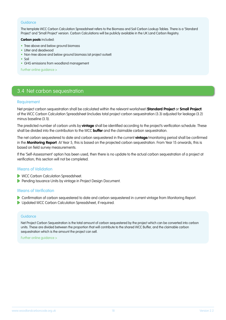#### **Guidance**

The template WCC Carbon Calculation Spreadsheet refers to the Biomass and Soil Carbon Lookup Tables. There is a 'Standard Project' and 'Small Project' version. Carbon Calculations will be publicly available in the UK Land Carbon Registry.

**Carbon pools** included:

- Tree above and below around biomass
- Litter and deadwood
- Non-tree above and below ground biomass (at project outset)
- Soil
- GHG emissions from woodland management

[Further online guidance >](https://www.woodlandcarboncode.org.uk/standard-and-guidance/3-carbon-sequestration/3-3-project-carbon-sequestration)

# 3.4 Net carbon sequestration

## **Requirement**

Net project carbon sequestration shall be calculated within the relevant worksheet (**Standard Project** or **Small Project**) of the WCC Carbon Calculation Spreadsheet (includes total project carbon sequestration (3.3) adjusted for leakage (3.2) minus baseline (3.1)).

The predicted number of carbon units by **vintage** shall be identified according to the project's verification schedule. These shall be divided into the contribution to the WCC **buffer** and the claimable carbon sequestration.

The net carbon sequestered to date and carbon sequestered in the current **vintage**/monitoring period shall be confirmed in the **Monitoring Report**. At Year 5, this is based on the projected carbon sequestration. From Year 15 onwards, this is based on field survey measurements.

If the 'Self-Assessment' option has been used, then there is no update to the actual carbon sequestration of a project at verification; this section will not be completed.

# Means of Validation

- WCC Carbon Calculation Spreadsheet.
- **Pending Issuance Units by vintage in Project Design Document.**

# Means of Verification

- Confirmation of carbon sequestered to date and carbon sequestered in current vintage from Monitoring Report.
- **D** Updated WCC Carbon Calculation Spreadsheet, if required.

#### **Guidance**

Net Project Carbon Sequestration is the total amount of carbon sequestered by the project which can be converted into carbon units. These are divided between the proportion that will contribute to the shared WCC Buffer, and the claimable carbon sequestration which is the amount the project can sell.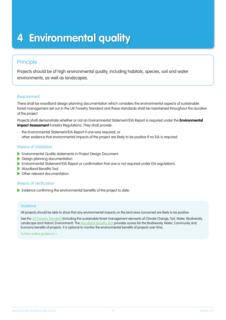# **4 Environmental quality**

# Principle

Projects should be of high environmental quality, including habitats, species, soil and water environments, as well as landscapes.

# **Requirement**

There shall be woodland design planning documentation which considers the environmental aspects of sustainable forest management set out in the UK Forestry Standard and these standards shall be maintained throughout the duration of the project.

Projects shall demonstrate whether or not an Environmental Statement/EIA Report is required under the **Environmental Impact Assessment** Forestry Regulations. They shall provide:

- the Environmental Statement/EIA Report if one was required; or
- other evidence that environmental impacts of the project are likely to be positive if no EIA is required.

# Means of Validation

- Environmental Quality statements in Project Design Document.
- **Design planning documentation.**
- Environmental Statement/EIA Report or confirmation that one is not required under EIA regulations.
- Woodland Benefits Tool.  $\blacktriangleright$
- **C** Other relevant documentation

# Means of Verification

Evidence confirming the environmental benefits of the project to date.

# **Guidance**

All projects should be able to show that any environmental impacts on the land area concerned are likely to be positive.

See the [UK Forestry Standard](https://www.gov.uk/government/publications/the-uk-forestry-standard) (including the sustainable forest management elements of Climate Change, Soil, Water, Biodiversity, Landscape and Historic Environment). The [Woodland Benefits Tool](https://www.woodlandcarboncode.org.uk/standard-and-guidance/4-environmental-quality) provides scores for the Biodiversity, Water, Community and Economy benefits of projects. It is optional to monitor the environmental benefits of projects over time.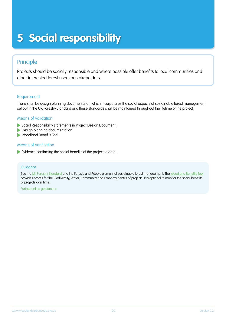# **5 Social responsibility**

# Principle

Projects should be socially responsible and where possible offer benefits to local communities and other interested forest users or stakeholders.

# **Requirement**

There shall be design planning documentation which incorporates the social aspects of sustainable forest management set out in the UK Forestry Standard and these standards shall be maintained throughout the lifetime of the project.

# Means of Validation

- Social Responsibility statements in Project Design Document.
- Design planning documentation.
- Woodland Benefits Tool.

# Means of Verification

Evidence confirming the social benefits of the project to date.

## Guidance

See the [UK Forestry Standard](https://www.gov.uk/government/publications/the-uk-forestry-standard) and the Forests and People element of sustainable forest management. The [Woodland Benefits Tool](https://www.woodlandcarboncode.org.uk/standard-and-guidance/5-social-responsibility) provides scores for the Biodiversity, Water, Community and Economy benfits of projects. It is optional to monitor the social benefits of projects over time.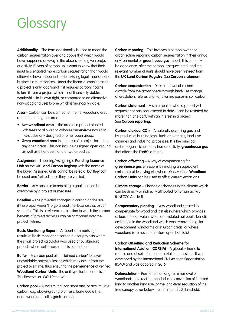# **Glossary**

**Additionality** – The term additionality is used to mean the carbon sequestration over and above that which would have happened anyway in the absence of a given project or activity. Buyers of carbon units want to know that their input has enabled more carbon sequestration than would otherwise have happened under existing legal, financial and business circumstances. Under the financial consideration, a project is only 'additional' if it requires carbon income to turn it from a project which is not financially viable/ worthwhile (in its own right, or compared to an alternative non-woodland use) to one which is financially viable.

**Area** – Carbon can be claimed for the net woodland area, rather than the gross area.

- **Net woodland area** is the area of a project planted with trees or allowed to colonise/regenerate naturally. It excludes any designed or other open areas.
- **Gross woodland area** is the area of a project including any open areas. This can include designed open ground as well as other open land or water bodies.

**Assignment** – Labelling/Assigning a **Pending Issuance Unit on the UK Land Carbon Registry** with the name of the buyer. Assigned units cannot be re-sold, but they can be used and 'retired' once they are verified.

**Barrier** – Any obstacle to reaching a goal that can be overcome by a project or measure.

**Baseline** – The projected changes to carbon on the site if the project weren't to go ahead (the 'business as usual' scenario). This is a reference projection to which the carbon benefits of project activities can be compared over the project lifetime.

**Basic Monitoring Report** – A report summarising the results of basic monitoring carried out for projects where the small project calculator was used or by standard projects where sell assessment is carried out.

**Buffer** – A carbon pool of 'unclaimed carbon' to cover unavoidable potential losses which may occur from the project over time, thus ensuring the **permanence** of verified **Woodland Carbon Units**. The unit type for buffer units is 'PIU Reserve' or 'WCU Reserve'.

**Carbon pool** – A system that can store and/or accumulate carbon, e.g. above-ground biomass, leaf/needle litter, dead wood and soil organic carbon.

**Carbon reporting** – This involves a carbon owner or organisation reporting carbon sequestration in their annual environmental or **greenhouse gas** report. This can only be done once, after the carbon is sequestered, and the relevant number of units should have been 'retired' from the **UK Land Carbon Registry**. See **Carbon statement**.

**Carbon sequestration** – Direct removal of carbon dioxide from the atmosphere through land-use change, afforestation, reforestation and/or increases in soil carbon.

**Carbon statement** – A statement of what a project will sequester or has sequestered to date. It can be restated by more than one party with an interest in a project. See **Carbon reporting**.

**Carbon dioxide (CO<sub>2</sub>)** – A naturally occurring gas and by-product of burning fossil fuels or biomass, land-use changes and industrial processes. It is the principal anthropogenic (caused by human activity) **greenhouse gas** that affects the Earth's climate.

**Carbon offsetting** – A way of compensating for **greenhouse gas** emissions by making an equivalent carbon dioxide saving elsewhere. Only verified **Woodland Carbon Units** can be used to offset current emissions.

**Climate change** – Change or changes in the climate which can be directly or indirectly attributed to human activity (UNFCCC Article 1).

**Compensatory planting** – New woodland created to compensate for woodland lost elsewhere which provides at least the equivalent woodland-related net public benefit embodied in the woodland which was removed (e.g. for development (windfarms or in urban areas) or where woodland is removed to restore open habitats).

**Carbon Offsetting and Reduction Scheme for International Aviation (CORSIA)** – A global scheme to reduce and offset international aviation emissions. It was developed by the International Civil Aviation Organsiation (ICAO) and was adopted in 2016.

**Deforestation** – Permanent or long-term removal of woodland; the direct, human-induced conversion of forested land to another land use, or the long-term reduction of the tree canopy cover below the minimum 20% threshold.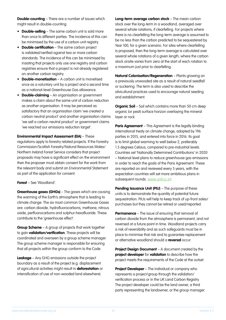**Double-counting** – There are a number of issues which might result in double-counting:

- **Double-selling** The same carbon unit is sold more than once to different parties. The incidence of this can be minimised by the use of a carbon unit registry.
- **Double certification** The same carbon project is validated/verified against two or more carbon standards. The incidence of this can be minimised by insisting that projects only use one registry and carbon registries ensure that a project is not already registered on another carbon registry.
- **Double-monetisation**  A carbon unit is monetised once as a voluntary unit by a project and a second time as a national-level Greenhouse Gas allowance.
- **Double-claiming** An organisation or government makes a claim about the same unit of carbon reduction as another organisation. It may be perceived as satisfactory that an organisation claim 'we created a carbon neutral product' and another organisation claims 'we sell a carbon neutral product' or government claims 'we reached our emissions reduction target'.

**Environmental Impact Assessment (EIA)** – These regulations apply to forestry related projects. If the Forestry Commission/Scottish Forestry/Natural Resources Wales/ Northern Ireland Forest Service considers that project proposals may have a significant effect on the environment then the proposer must obtain consent for the work from the relevant body and submit an Environmental Statement as part of the application for consent.

# **Forest** – See 'Woodland'.

**Greenhouse gases (GHGs)** – The gases which are causing the warming of the Earth's atmosphere that is leading to climate change. The six most common Greenhouse Gases are: carbon dioxide, hydrofluorocarbons, methane, nitrous oxide, perfluorocarbons and sulphur-hexafluoride. These contribute to the 'greenhouse effect'.

**Group Scheme** – A group of projects that work together to gain **validation/verification**. These projects will be coordinated and overseen by a group scheme manager. The group scheme manager is responsible for ensuring that all projects within the group conform to the Code.

**Leakage** – Any GHG emissions outside the project boundary as a result of the project (e.g. displacement of agricultural activities might result in **deforestation** or intensification of use of non-wooded land elsewhere).

**Long-term average carbon stock** – The mean carbon stock over the long-term in a woodland, averaged over several whole rotations, if clearfelling. For projects where there is no clearfelling the long-term average is assumed to be no less than the carbon predicted to be sequestered by Year 100, for a given scenario. For sites where clearfelling is proposed, then the long-term average is calculated over several whole rotations of a given length, where the carbon stock onsite varies from zero at the start of each rotation to a maximum just prior to clearfelling.

**Natural Colonisation/Regeneration** – Plants growing on a previously unwooded site as a result of natural seedfall or suckering. The term is also used to describe the silvicultural practices used to encourage natural seeding and establishment.

**Organic Soil** – Soil which contains more than 50 cm deep organic (or peat) surface horizon overlaying the mineral layer or rock.

**Paris Agreement** – This Agreement is the legally binding international treaty on climate change, adopted by 196 parties in 2015, and entered into force in 2016. Its goal is to limit global warming to well below 2, preferably 1.5 degrees Celsius, compared to pre-industrial levels. Countries set 'Nationally Determined Contributions' in 2020 – National level plans to reduce greenhouse gas emissions in order to reach the goals of the Paris Agreement. These are reported on and reviewed every 5 years, with the expectation countries will set more ambitious plans in subsequent rounds. www.unfccc.int

**Pending Issuance Unit (PIU)** – The purpose of these units is to demonstrate the quantity of potential future sequestration. PIUs will help to keep track of up-front sales/ purchases but they cannot be retired or used/reported.

**Permanence** – The issue of ensuring that removal of carbon dioxide from the atmosphere is permanent, and not reversed at a future point in time. Woodland projects carry a risk of reversibility and as such safeguards must be in place to minimise that risk and to guarantee replacement or alternative woodland should a **reversal** occur.

**Project Design Document** – A document created by the **project developer** for **validation** to describe how the project meets the requirements of the Code at the outset.

**Project Developer** – The individual or company who represents a project/group through the validation/ verification process or in the UK Land Carbon Registry. The project developer could be the land owner, a third party representing the landowner, or the group manager.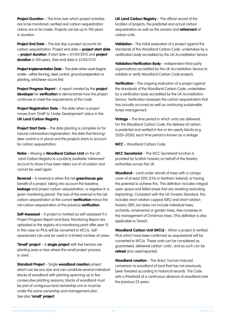**Project Duration** – The time over which project activities are to be monitored, verified and carbon sequestration claims are to be made. Projects can be up to 100 years in duration.

**Project End Date** – The last day a project accounts for carbon sequestration. Project end date = **project start date** + **project duration**. If start date = 01/04/2013 and **project duration** is 100 years, then end date is 31/03/2113.

**Project Implementation Date** – The date when work begins onsite – either fencing, deer control, ground preperation or planting, whichever occurs first.

**Project Progress Report** – A report created by the **project developer** for **verification** to demonstrate how the project continues to meet the requirements of the Code.

**Project Registration Date** – The date when a project moves from 'Draft' to 'Under Development' status in the **UK Land Carbon Registry**.

**Project Start Date** – The date planting is complete (or for natural colonisation/regeneration, the date that fencing/ deer control is in place) and the projects starts to account for carbon sequestration.

**Retire** – Moving a **Woodland Carbon Unit** on the UK Land Carbon Registry to a publicly available 'retirement' account to show it has been taken out of circulation and cannot be used again.

**Reversal** – A reversal is when the net **greenhouse gas**  benefit of a project, taking into account the baseline, leakage and project carbon sequestration, is negative in a given monitoring period. The size of the reversal is the net carbon sequestration at the current **verification** minus the net carbon sequestration at the previous **verification**.

**Self-Assessed** – A project is marked as self-assessed if a Project Progress Report and Basic Monitoring Report are uploaded to the registry at a monitoring point after year 15. In this case no PIUs will be converted to WCUs. Selfassessment can only be used in a limited number of cases.

**'Small' project** – A **single project** with five hectare net planting area or less where the small project process is used.

**Standard Project** – Single **woodland creation** project which can be any size and can constitute several individual blocks of woodland with planting spanning up to five consecutive planting seasons; blocks of woodland must be part of contiguous land ownership unit or must be under the same ownership and management plan. See also **'small' project**.

**UK Land Carbon Registry** – The official record of the location of projects, the predicted and actual carbon sequestration as well as the owners and **retirement** of carbon units.

**Validation** – The initial evaluation of a project against the standards of the Woodland Carbon Code, undertaken by a certification body accredited by the UK Accreditation Service.

**Validation/Verification Body** – Independent third-party organisations accredited by the UK Accreditation Service to validate or verify Woodland Carbon Code projects.

**Verification** – The ongoing evaluation of a project against the standards of the Woodland Carbon Code, undertaken by a verification body accredited by the UK Accreditation Service. Verification assesses the carbon sequestration that has actually occurred as well as continuing sustainable forest management.

**Vintage** – The time period in which units are delivered. For the Woodland Carbon Code, the delivery of carbon is predicted and verified in five or ten-yearly blocks (e.g. 2020–2030); each time period is known as a vintage.

**WCC** – Woodland Carbon Code.

**WCC Secretariat** – The WCC Secretariat function is provided by Scottish Forestry on behalf of the forestry authorities across the UK.

**Woodland** – Land under stands of trees with a canopy cover of at least 20% (25% in Northern Ireland), or having the potential to achieve this. This definition includes integral open space and felled areas that are awaiting restocking (replanting). Consistent with the UK Forestry Standard, this includes short rotation coppice (SRC) and short rotation forestry (SRF), but does not include individual trees, orchards, ornamental or garden trees, tree nurseries or the management of Christmas trees. (This definition is also applicable to 'forest').

**Woodland Carbon Unit (WCU)** – When a project is verified, PIUs which have been confirmed as sequestered will be converted to WCUs. These units can be considered as guaranteed, delivered carbon 'units', and as such can be **retired** and used/reported.

**Woodland creation** – The direct, human-induced conversion to woodland of land that has not previously been forested according to historical records. The Code sets a threshold of a continuous absence of woodland over the previous 25 years.